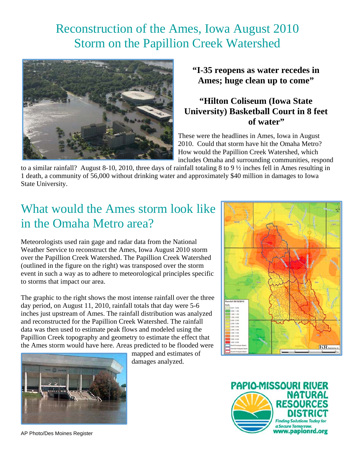## Reconstruction of the Ames, Iowa August 2010 Storm on the Papillion Creek Watershed



**"I-35 reopens as water recedes in Ames; huge clean up to come"** 

#### **"Hilton Coliseum (Iowa State University) Basketball Court in 8 feet of water"**

These were the headlines in Ames, Iowa in August 2010. Could that storm have hit the Omaha Metro? How would the Papillion Creek Watershed, which includes Omaha and surrounding communities, respond

to a similar rainfall? August 8-10, 2010, three days of rainfall totaling 8 to 9 ½ inches fell in Ames resulting in 1 death, a community of 56,000 without drinking water and approximately \$40 million in damages to Iowa State University.

# What would the Ames storm look like in the Omaha Metro area?

Meteorologists used rain gage and radar data from the National Weather Service to reconstruct the Ames, Iowa August 2010 storm over the Papillion Creek Watershed. The Papillion Creek Watershed (outlined in the figure on the right) was transposed over the storm event in such a way as to adhere to meteorological principles specific to storms that impact our area.

The graphic to the right shows the most intense rainfall over the three day period, on August 11, 2010, rainfall totals that day were 5-6 inches just upstream of Ames. The rainfall distribution was analyzed and reconstructed for the Papillion Creek Watershed. The rainfall data was then used to estimate peak flows and modeled using the Papillion Creek topography and geometry to estimate the effect that the Ames storm would have here. Areas predicted to be flooded were



mapped and estimates of damages analyzed.





AP Photo/Des Moines Register